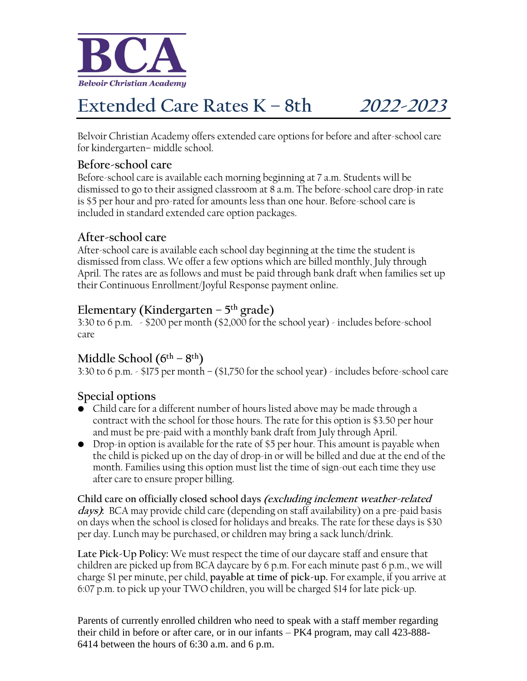

# **Extended Care Rates K – 8th 2022-2023**

Belvoir Christian Academy offers extended care options for before and after-school care for kindergarten– middle school.

#### **Before-school care**

Before-school care is available each morning beginning at 7 a.m. Students will be dismissed to go to their assigned classroom at 8 a.m. The before-school care drop-in rate is \$5 per hour and pro-rated for amounts less than one hour. Before-school care is included in standard extended care option packages.

#### **After-school care**

After-school care is available each school day beginning at the time the student is dismissed from class. We offer a few options which are billed monthly, July through April. The rates are as follows and must be paid through bank draft when families set up their Continuous Enrollment/Joyful Response payment online.

## **Elementary (Kindergarten – 5 th grade)**

3:30 to 6 p.m. - \$200 per month (\$2,000 for the school year) - includes before-school care

## **Middle School (6th – 8 th)**

3:30 to 6 p.m. - \$175 per month – (\$1,750 for the school year) - includes before-school care

### **Special options**

- Child care for a different number of hours listed above may be made through a contract with the school for those hours. The rate for this option is \$3.50 per hour and must be pre-paid with a monthly bank draft from July through April.
- Drop-in option is available for the rate of \$5 per hour. This amount is payable when the child is picked up on the day of drop-in or will be billed and due at the end of the month. Families using this option must list the time of sign-out each time they use after care to ensure proper billing.

**Child care on officially closed school days (excluding inclement weather-related days):** BCA may provide child care (depending on staff availability) on a pre-paid basis on days when the school is closed for holidays and breaks. The rate for these days is \$30 per day. Lunch may be purchased, or children may bring a sack lunch/drink.

**Late Pick-Up Policy:** We must respect the time of our daycare staff and ensure that children are picked up from BCA daycare by 6 p.m. For each minute past 6 p.m., we will charge \$1 per minute, per child, **payable at time of pick-up.** For example, if you arrive at 6:07 p.m. to pick up your TWO children, you will be charged \$14 for late pick-up.

Parents of currently enrolled children who need to speak with a staff member regarding their child in before or after care, or in our infants – PK4 program, may call 423-888- 6414 between the hours of 6:30 a.m. and 6 p.m.